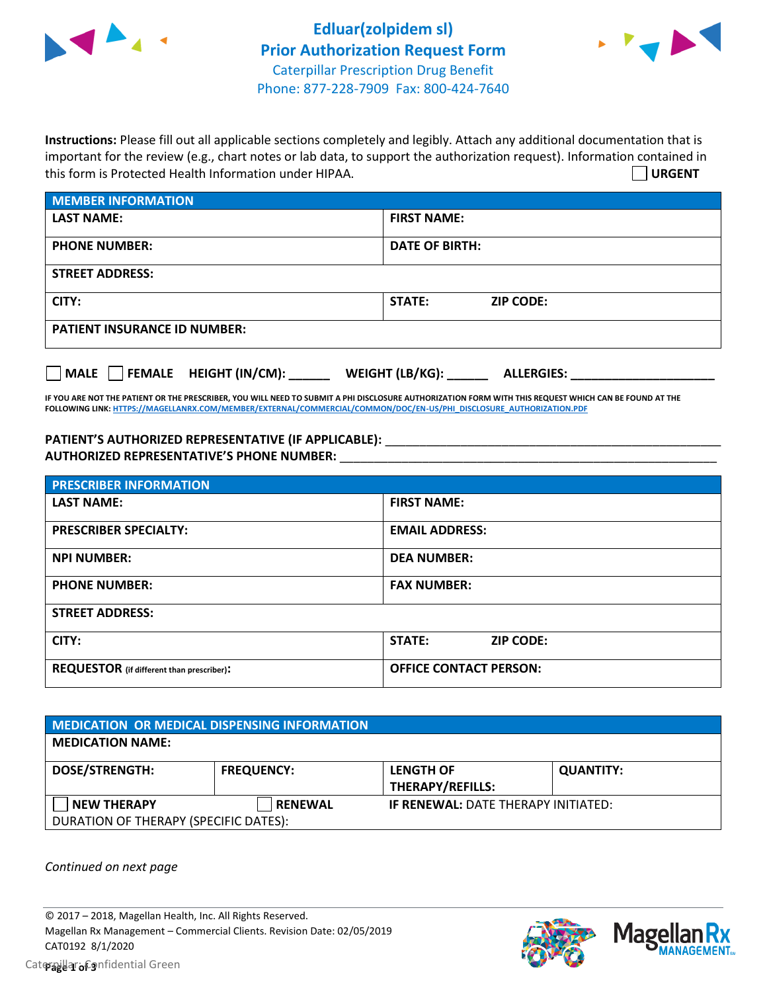



**Instructions:** Please fill out all applicable sections completely and legibly. Attach any additional documentation that is important for the review (e.g., chart notes or lab data, to support the authorization request). Information contained in this form is Protected Health Information under HIPAA. **URGENT**

| <b>MEMBER INFORMATION</b>             |                                      |  |  |  |
|---------------------------------------|--------------------------------------|--|--|--|
| <b>LAST NAME:</b>                     | <b>FIRST NAME:</b>                   |  |  |  |
| <b>PHONE NUMBER:</b>                  | <b>DATE OF BIRTH:</b>                |  |  |  |
| <b>STREET ADDRESS:</b>                |                                      |  |  |  |
| CITY:                                 | STATE:<br><b>ZIP CODE:</b>           |  |  |  |
| <b>PATIENT INSURANCE ID NUMBER:</b>   |                                      |  |  |  |
| FEMALE HEIGHT (IN/CM):<br><b>MALE</b> | WEIGHT (LB/KG):<br><b>ALLERGIES:</b> |  |  |  |

**IF YOU ARE NOT THE PATIENT OR THE PRESCRIBER, YOU WILL NEED TO SUBMIT A PHI DISCLOSURE AUTHORIZATION FORM WITH THIS REQUEST WHICH CAN BE FOUND AT THE FOLLOWING LINK[: HTTPS://MAGELLANRX.COM/MEMBER/EXTERNAL/COMMERCIAL/COMMON/DOC/EN-US/PHI\\_DISCLOSURE\\_AUTHORIZATION.PDF](https://magellanrx.com/member/external/commercial/common/doc/en-us/PHI_Disclosure_Authorization.pdf)**

PATIENT'S AUTHORIZED REPRESENTATIVE (IF APPLICABLE): \_\_\_\_\_\_\_\_\_\_\_\_\_\_\_\_\_\_\_\_\_\_\_\_\_\_\_ **AUTHORIZED REPRESENTATIVE'S PHONE NUMBER:** \_\_\_\_\_\_\_\_\_\_\_\_\_\_\_\_\_\_\_\_\_\_\_\_\_\_\_\_\_\_\_\_\_\_\_\_\_\_\_\_\_\_\_\_\_\_\_\_\_\_\_\_\_\_\_

| <b>PRESCRIBER INFORMATION</b>             |                               |  |  |  |
|-------------------------------------------|-------------------------------|--|--|--|
| <b>LAST NAME:</b>                         | <b>FIRST NAME:</b>            |  |  |  |
| <b>PRESCRIBER SPECIALTY:</b>              | <b>EMAIL ADDRESS:</b>         |  |  |  |
| <b>NPI NUMBER:</b>                        | <b>DEA NUMBER:</b>            |  |  |  |
| <b>PHONE NUMBER:</b>                      | <b>FAX NUMBER:</b>            |  |  |  |
| <b>STREET ADDRESS:</b>                    |                               |  |  |  |
| CITY:                                     | STATE:<br><b>ZIP CODE:</b>    |  |  |  |
| REQUESTOR (if different than prescriber): | <b>OFFICE CONTACT PERSON:</b> |  |  |  |

| <b>MEDICATION OR MEDICAL DISPENSING INFORMATION</b> |                   |                                            |                  |  |  |
|-----------------------------------------------------|-------------------|--------------------------------------------|------------------|--|--|
| <b>MEDICATION NAME:</b>                             |                   |                                            |                  |  |  |
| <b>DOSE/STRENGTH:</b>                               | <b>FREQUENCY:</b> | <b>LENGTH OF</b>                           | <b>QUANTITY:</b> |  |  |
|                                                     |                   | <b>THERAPY/REFILLS:</b>                    |                  |  |  |
| NEW THERAPY                                         | <b>RENEWAL</b>    | <b>IF RENEWAL: DATE THERAPY INITIATED:</b> |                  |  |  |
| DURATION OF THERAPY (SPECIFIC DATES):               |                   |                                            |                  |  |  |

*Continued on next page*

© 2017 – 2018, Magellan Health, Inc. All Rights Reserved. Magellan Rx Management – Commercial Clients. Revision Date: 02/05/2019 CAT0192 8/1/2020



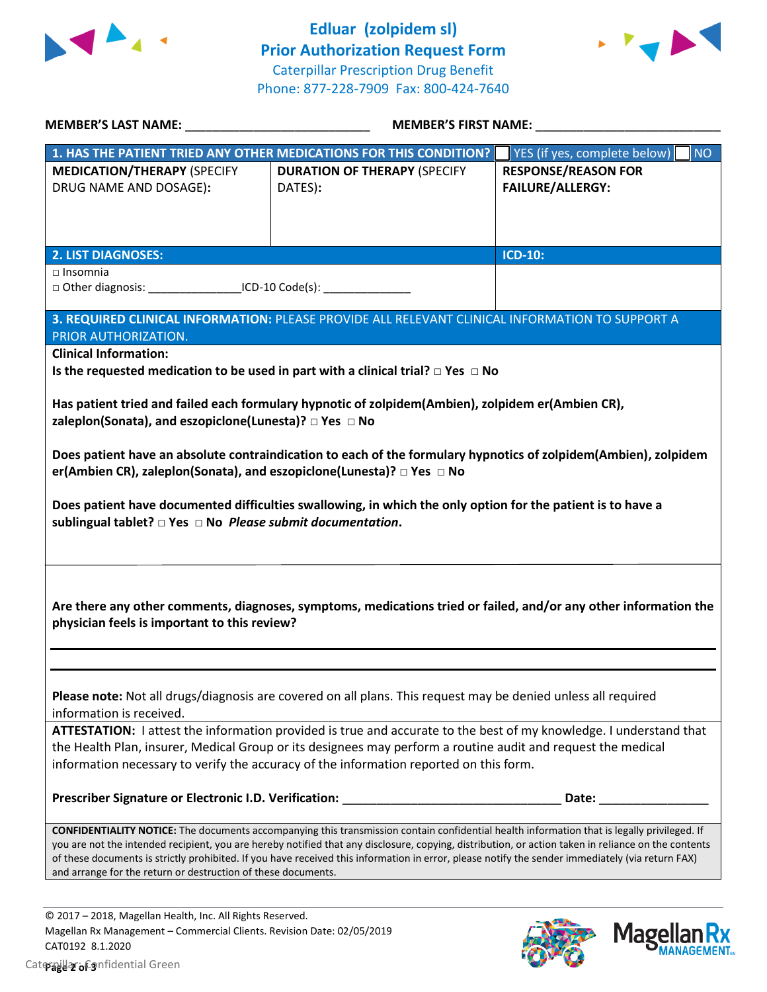



| MEMBER'S LAST NAME: NAME:                                                                                                                                                                                                                                                                                                    | <b>MEMBER'S FIRST NAME:</b>                                                                                                                                                                                                                                                                                                                                                                                                                            |                                                                                                    |  |  |
|------------------------------------------------------------------------------------------------------------------------------------------------------------------------------------------------------------------------------------------------------------------------------------------------------------------------------|--------------------------------------------------------------------------------------------------------------------------------------------------------------------------------------------------------------------------------------------------------------------------------------------------------------------------------------------------------------------------------------------------------------------------------------------------------|----------------------------------------------------------------------------------------------------|--|--|
| <b>MEDICATION/THERAPY (SPECIFY</b><br>DRUG NAME AND DOSAGE):                                                                                                                                                                                                                                                                 | 1. HAS THE PATIENT TRIED ANY OTHER MEDICATIONS FOR THIS CONDITION?<br><b>DURATION OF THERAPY (SPECIFY</b><br>DATES):                                                                                                                                                                                                                                                                                                                                   | YES (if yes, complete below)<br><b>NO</b><br><b>RESPONSE/REASON FOR</b><br><b>FAILURE/ALLERGY:</b> |  |  |
| <b>2. LIST DIAGNOSES:</b>                                                                                                                                                                                                                                                                                                    |                                                                                                                                                                                                                                                                                                                                                                                                                                                        | <b>ICD-10:</b>                                                                                     |  |  |
| $\Box$ Insomnia<br>□ Other diagnosis: ________________________ICD-10 Code(s): ____________________                                                                                                                                                                                                                           |                                                                                                                                                                                                                                                                                                                                                                                                                                                        |                                                                                                    |  |  |
| PRIOR AUTHORIZATION.                                                                                                                                                                                                                                                                                                         | 3. REQUIRED CLINICAL INFORMATION: PLEASE PROVIDE ALL RELEVANT CLINICAL INFORMATION TO SUPPORT A                                                                                                                                                                                                                                                                                                                                                        |                                                                                                    |  |  |
| <b>Clinical Information:</b>                                                                                                                                                                                                                                                                                                 | Is the requested medication to be used in part with a clinical trial? $\Box$ Yes $\Box$ No                                                                                                                                                                                                                                                                                                                                                             |                                                                                                    |  |  |
| Has patient tried and failed each formulary hypnotic of zolpidem(Ambien), zolpidem er(Ambien CR),<br>zaleplon(Sonata), and eszopiclone(Lunesta)? $\Box$ Yes $\Box$ No                                                                                                                                                        |                                                                                                                                                                                                                                                                                                                                                                                                                                                        |                                                                                                    |  |  |
| Does patient have an absolute contraindication to each of the formulary hypnotics of zolpidem(Ambien), zolpidem<br>er(Ambien CR), zaleplon(Sonata), and eszopiclone(Lunesta)? □ Yes □ No                                                                                                                                     |                                                                                                                                                                                                                                                                                                                                                                                                                                                        |                                                                                                    |  |  |
| Does patient have documented difficulties swallowing, in which the only option for the patient is to have a                                                                                                                                                                                                                  |                                                                                                                                                                                                                                                                                                                                                                                                                                                        |                                                                                                    |  |  |
| Are there any other comments, diagnoses, symptoms, medications tried or failed, and/or any other information the<br>physician feels is important to this review?                                                                                                                                                             |                                                                                                                                                                                                                                                                                                                                                                                                                                                        |                                                                                                    |  |  |
| Please note: Not all drugs/diagnosis are covered on all plans. This request may be denied unless all required<br>information is received.                                                                                                                                                                                    |                                                                                                                                                                                                                                                                                                                                                                                                                                                        |                                                                                                    |  |  |
| ATTESTATION: I attest the information provided is true and accurate to the best of my knowledge. I understand that<br>the Health Plan, insurer, Medical Group or its designees may perform a routine audit and request the medical<br>information necessary to verify the accuracy of the information reported on this form. |                                                                                                                                                                                                                                                                                                                                                                                                                                                        |                                                                                                    |  |  |
|                                                                                                                                                                                                                                                                                                                              |                                                                                                                                                                                                                                                                                                                                                                                                                                                        |                                                                                                    |  |  |
| and arrange for the return or destruction of these documents.                                                                                                                                                                                                                                                                | CONFIDENTIALITY NOTICE: The documents accompanying this transmission contain confidential health information that is legally privileged. If<br>you are not the intended recipient, you are hereby notified that any disclosure, copying, distribution, or action taken in reliance on the contents<br>of these documents is strictly prohibited. If you have received this information in error, please notify the sender immediately (via return FAX) |                                                                                                    |  |  |
| @ 2017 - 2018 Magellan Health Inc. All Bights Reserved                                                                                                                                                                                                                                                                       |                                                                                                                                                                                                                                                                                                                                                                                                                                                        |                                                                                                    |  |  |



Magellan Rx